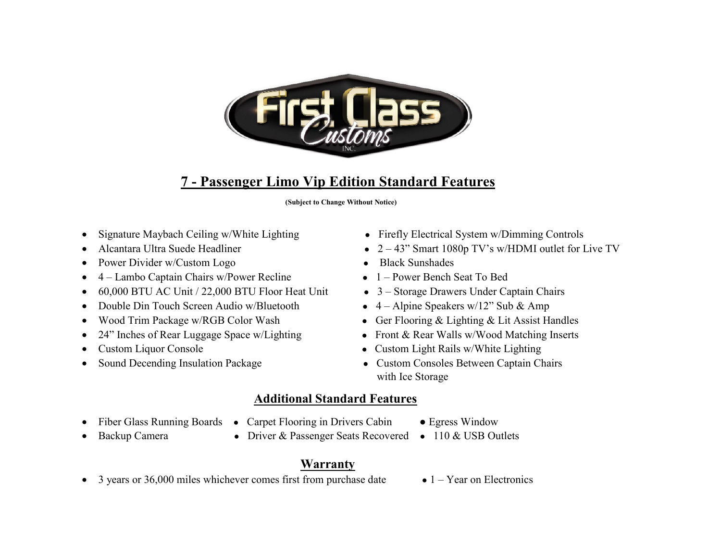

# **7 - Passenger Limo Vip Edition Standard Features**

 **(Subject to Change Without Notice)** 

- Signature Maybach Ceiling w/White Lighting Firefly Electrical System w/Dimming Controls
- 
- Power Divider w/Custom Logo  **Black Sunshades**
- 4 Lambo Captain Chairs w/Power Recline 1 Power Bench Seat To Bed
- 60,000 BTU AC Unit / 22,000 BTU Floor Heat Unit 3 Storage Drawers Under Captain Chairs
- Double Din Touch Screen Audio w/Bluetooth 4 Alpine Speakers w/12" Sub & Amp
- 
- 24" Inches of Rear Luggage Space w/Lighting Front & Rear Walls w/Wood Matching Inserts
- 
- 
- 
- Alcantara Ultra Suede Headliner  $2 43$ " Smart 1080p TV's w/HDMI outlet for Live TV
	-
	-
	-
	-
- Wood Trim Package w/RGB Color Wash Ger Flooring & Lighting & Lit Assist Handles
	-
- Custom Liquor Console Custom Light Rails w/White Lighting
- Sound Decending Insulation Package Custom Consoles Between Captain Chairs with Ice Storage

## **Additional Standard Features**

- Fiber Glass Running Boards Carpet Flooring in Drivers Cabin Egress Window
	-
- 
- 
- Backup Camera Driver & Passenger Seats Recovered 110 & USB Outlets

## **Warranty**

- 3 years or 36,000 miles whichever comes first from purchase date  $\bullet$  1 Year on Electronics
	-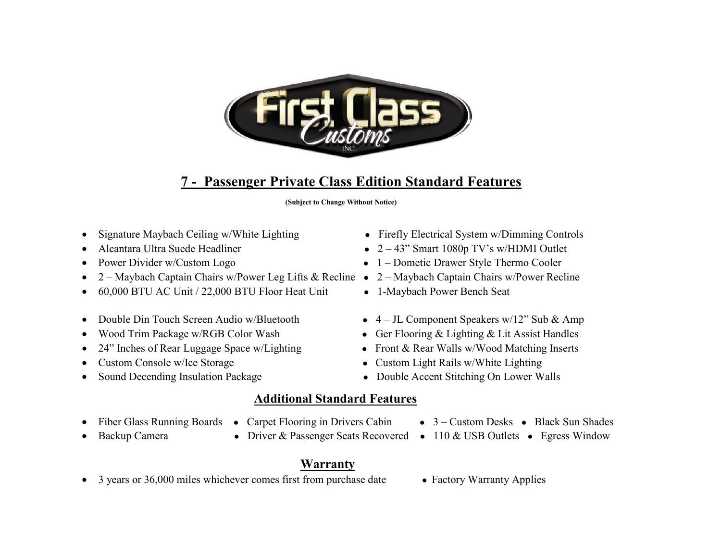

# **7 - Passenger Private Class Edition Standard Features**

 **(Subject to Change Without Notice)** 

- 
- 
- 
- 2 Maybach Captain Chairs w/Power Leg Lifts & Recline 2 Maybach Captain Chairs w/Power Recline
- 60,000 BTU AC Unit / 22,000 BTU Floor Heat Unit 1-Maybach Power Bench Seat
- 
- 
- 24" Inches of Rear Luggage Space w/Lighting Front & Rear Walls w/Wood Matching Inserts
- 
- 
- Signature Maybach Ceiling w/White Lighting Firefly Electrical System w/Dimming Controls
- Alcantara Ultra Suede Headliner  $2-43$ " Smart 1080p TV's w/HDMI Outlet
- Power Divider w/Custom Logo **•** 1 Dometic Drawer Style Thermo Cooler
	-
	-
- Double Din Touch Screen Audio w/Bluetooth 4 JL Component Speakers w/12" Sub & Amp
- Wood Trim Package w/RGB Color Wash Ger Flooring & Lighting & Lit Assist Handles
	-
- Custom Console w/Ice Storage Custom Light Rails w/White Lighting
- Sound Decending Insulation Package Double Accent Stitching On Lower Walls

## **Additional Standard Features**

- 
- 
- 

# **Warranty**

- 3 years or 36,000 miles whichever comes first from purchase date Factory Warranty Applies
- 
- Fiber Glass Running Boards Carpet Flooring in Drivers Cabin 3 Custom Desks Black Sun Shades
- Backup Camera Driver & Passenger Seats Recovered 110 & USB Outlets Egress Window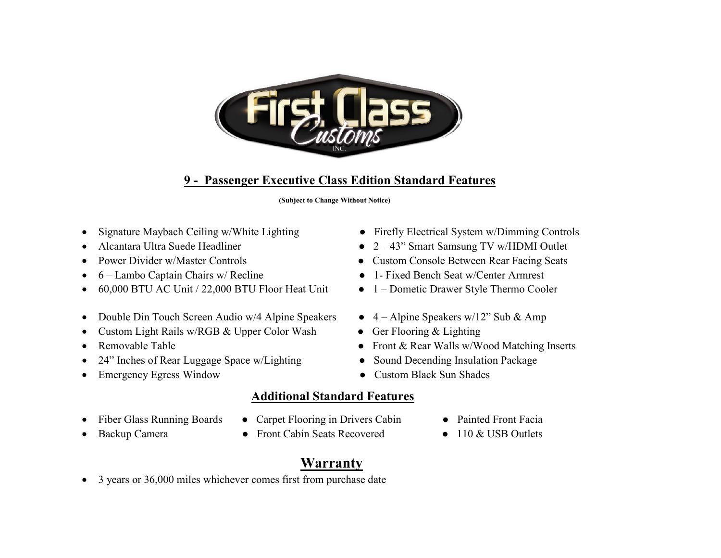

# **9 - Passenger Executive Class Edition Standard Features**

 **(Subject to Change Without Notice)** 

- Signature Maybach Ceiling w/White Lighting Firefly Electrical System w/Dimming Controls
- 
- 
- 
- 60,000 BTU AC Unit / 22,000 BTU Floor Heat Unit 1 Dometic Drawer Style Thermo Cooler
- Double Din Touch Screen Audio w/4 Alpine Speakers  $4 -$ Alpine Speakers w/12" Sub & Amp
- Custom Light Rails w/RGB & Upper Color Wash Ger Flooring & Lighting
- 
- 24" Inches of Rear Luggage Space w/Lighting Sound Decending Insulation Package
- Emergency Egress Window Custom Black Sun Shades
- 
- Alcantara Ultra Suede Headliner 2 43" Smart Samsung TV w/HDMI Outlet
- Power Divider w/Master Controls Custom Console Between Rear Facing Seats
- 6 Lambo Captain Chairs w/ Recline 1- Fixed Bench Seat w/Center Armrest
	-
	-
	-
- Removable Table **by a struck of the Contract Contract Contract Contract Contract Contract Contract Contract Contract Contract Contract Contract Contract Contract Contract Contract Contract Contract Contract Contract Cont** 
	-
	-

## **Additional Standard Features**

- 
- Fiber Glass Running Boards Carpet Flooring in Drivers Cabin Painted Front Facia
- 
- 
- 
- Backup Camera Front Cabin Seats Recovered 110 & USB Outlets
	-

# **Warranty**

• 3 years or 36,000 miles whichever comes first from purchase date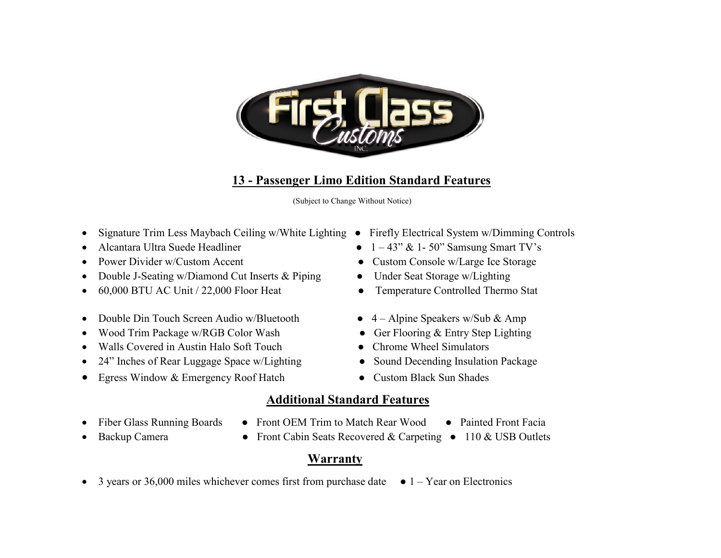

# **13 - Passenger Limo Edition Standard Features**

(Subject to Change Without Notice)

- Signature Trim Less Maybach Ceiling w/White Lighting Firefly Electrical System w/Dimming Controls
- 
- 
- Double J-Seating w/Diamond Cut Inserts & Piping Under Seat Storage w/Lighting
- 60,000 BTU AC Unit / 22,000 Floor Heat Temperature Controlled Thermo Stat
- Double Din Touch Screen Audio w/Bluetooth 4 Alpine Speakers w/Sub & Amp
- Wood Trim Package w/RGB Color Wash Ger Flooring & Entry Step Lighting
- Walls Covered in Austin Halo Soft Touch Chrome Wheel Simulators
- 24" Inches of Rear Luggage Space w/Lighting Sound Decending Insulation Package
- Egress Window & Emergency Roof Hatch Custom Black Sun Shades
- 
- Alcantara Ultra Suede Headliner  $1 43$ " &  $1 50$ " Samsung Smart TV's
- Power Divider w/Custom Accent Custom Console w/Large Ice Storage
	-
	-
	-
	-
	-
	-
	-

#### **Additional Standard Features**

- 
- Fiber Glass Running Boards Front OEM Trim to Match Rear Wood Painted Front Facia
- 
- 
- Backup Camera Front Cabin Seats Recovered & Carpeting 110 & USB Outlets

#### **Warranty**

• 3 years or 36,000 miles whichever comes first from purchase date  $\bullet$  1 – Year on Electronics